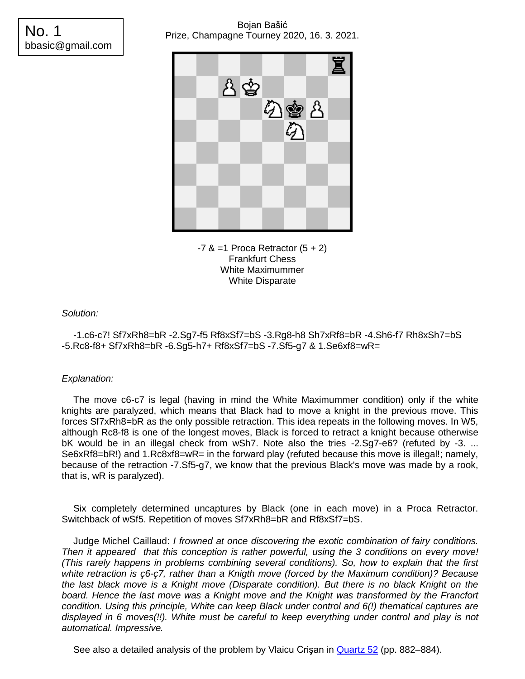# Bojan Bašić Prize, Champagne Tourney 2020, 16. 3. 2021.

No. 1 bbasic@gmail.com





*Solution:*

-1.c6-c7! Sf7xRh8=bR -2.Sg7-f5 Rf8xSf7=bS -3.Rg8-h8 Sh7xRf8=bR -4.Sh6-f7 Rh8xSh7=bS -5.Rc8-f8+ Sf7xRh8=bR -6.Sg5-h7+ Rf8xSf7=bS -7.Sf5-g7 & 1.Se6xf8=wR=

# *Explanation:*

The move c6-c7 is legal (having in mind the White Maximummer condition) only if the white knights are paralyzed, which means that Black had to move a knight in the previous move. This forces Sf7xRh8=bR as the only possible retraction. This idea repeats in the following moves. In W5, although Rc8-f8 is one of the longest moves, Black is forced to retract a knight because otherwise bK would be in an illegal check from wSh7. Note also the tries -2.Sg7-e6? (refuted by -3. ... Se6xRf8=bR!) and 1.Rc8xf8=wR= in the forward play (refuted because this move is illegal!; namely, because of the retraction -7.Sf5-g7, we know that the previous Black's move was made by a rook, that is, wR is paralyzed).

Six completely determined uncaptures by Black (one in each move) in a Proca Retractor. Switchback of wSf5. Repetition of moves Sf7xRh8=bR and Rf8xSf7=bS.

Judge Michel Caillaud: *I frowned at once discovering the exotic combination of fairy conditions. Then it appeared that this conception is rather powerful, using the 3 conditions on every move! (This rarely happens in problems combining several conditions). So, how to explain that the first white retraction is ç6-ç7, rather than a Knigth move (forced by the Maximum condition)? Because the last black move is a Knight move (Disparate condition). But there is no black Knight on the board. Hence the last move was a Knight move and the Knight was transformed by the Francfort condition. Using this principle, White can keep Black under control and 6(!) thematical captures are displayed in 6 moves(!!). White must be careful to keep everything under control and play is not automatical. Impressive.*

See also a detailed analysis of the problem by Vlaicu Crisan in [Quartz 52](https://quartz.chessproblems.ca/pdf/52/Quartz52.pdf) (pp. 882–884).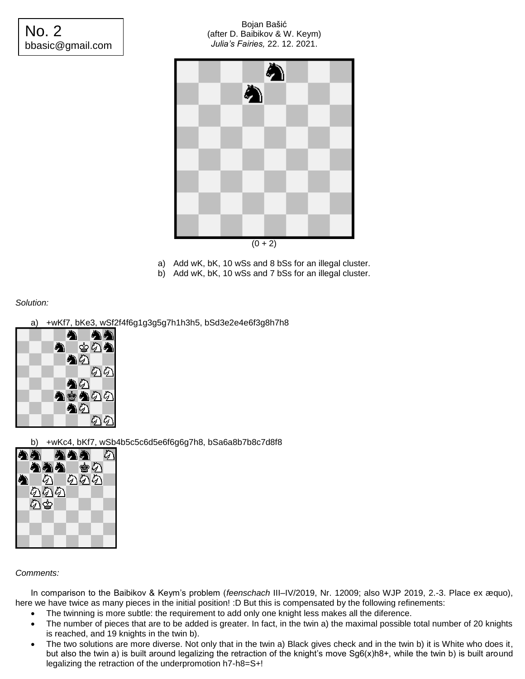# No. 2 bbasic@gmail.com

#### Bojan Bašić (after D. Baibikov & W. Keym) *Julia's Fairies,* 22. 12. 2021.



- a) Add wK, bK, 10 wSs and 8 bSs for an illegal cluster.
- b) Add wK, bK, 10 wSs and 7 bSs for an illegal cluster.

## *Solution:*

## a) +wKf7, bKe3, wSf2f4f6g1g3g5g7h1h3h5, bSd3e2e4e6f3g8h7h8



b) +wKc4, bKf7, wSb4b5c5c6d5e6f6g6g7h8, bSa6a8b7b8c7d8f8



#### *Comments:*

In comparison to the Baibikov & Keym's problem (*feenschach* III–IV/2019, Nr. 12009; also WJP 2019, 2.-3. Place ex æquo), here we have twice as many pieces in the initial position! :D But this is compensated by the following refinements:

- The twinning is more subtle: the requirement to add only one knight less makes all the diference.
- The number of pieces that are to be added is greater. In fact, in the twin a) the maximal possible total number of 20 knights is reached, and 19 knights in the twin b).
- The two solutions are more diverse. Not only that in the twin a) Black gives check and in the twin b) it is White who does it, but also the twin a) is built around legalizing the retraction of the knight's move Sg6(x)h8+, while the twin b) is built around legalizing the retraction of the underpromotion h7-h8=S+!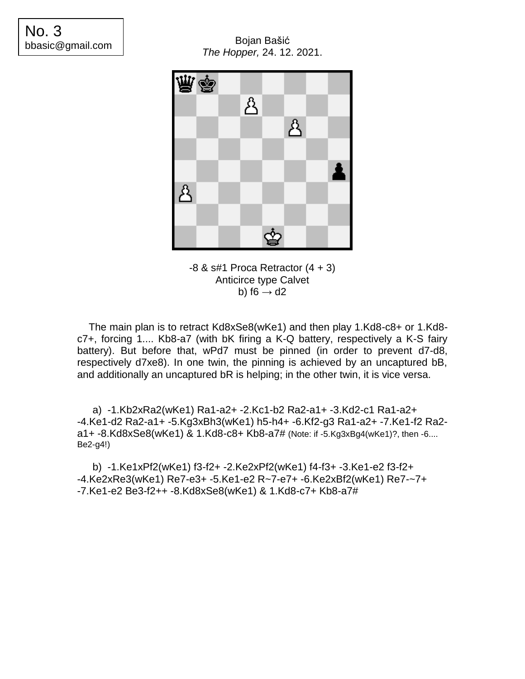Bojan Bašić *The Hopper,* 24. 12. 2021.



 $-8$  & s#1 Proca Retractor  $(4 + 3)$ Anticirce type Calvet b) f6  $\rightarrow$  d2

The main plan is to retract Kd8xSe8(wKe1) and then play 1.Kd8-c8+ or 1.Kd8 c7+, forcing 1.... Kb8-a7 (with bK firing a K-Q battery, respectively a K-S fairy battery). But before that, wPd7 must be pinned (in order to prevent d7-d8, respectively d7xe8). In one twin, the pinning is achieved by an uncaptured bB, and additionally an uncaptured bR is helping; in the other twin, it is vice versa.

a) -1.Kb2xRa2(wKe1) Ra1-a2+ -2.Kc1-b2 Ra2-a1+ -3.Kd2-c1 Ra1-a2+ -4.Ke1-d2 Ra2-a1+ -5.Kg3xBh3(wKe1) h5-h4+ -6.Kf2-g3 Ra1-a2+ -7.Ke1-f2 Ra2 a1+ -8.Kd8xSe8(wKe1) & 1.Kd8-c8+ Kb8-a7# (Note: if -5.Kg3xBg4(wKe1)?, then -6.... Be2-g4!)

b) -1.Ke1xPf2(wKe1) f3-f2+ -2.Ke2xPf2(wKe1) f4-f3+ -3.Ke1-e2 f3-f2+ -4.Ke2xRe3(wKe1) Re7-e3+ -5.Ke1-e2 R~7-e7+ -6.Ke2xBf2(wKe1) Re7-~7+ -7.Ke1-e2 Be3-f2++ -8.Kd8xSe8(wKe1) & 1.Kd8-c7+ Kb8-a7#